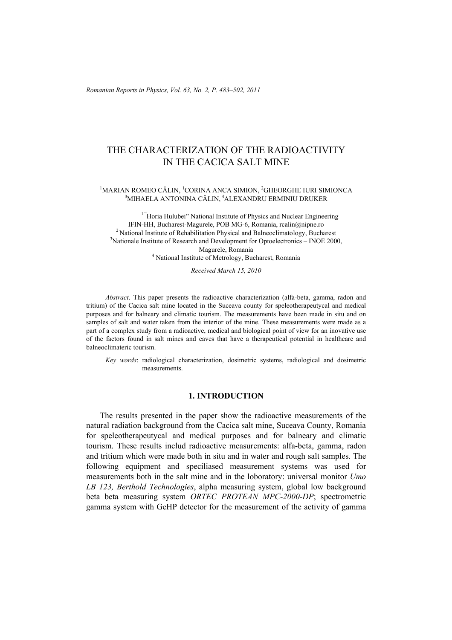*Romanian Reports in Physics, Vol. 63, No. 2, P. 483–502, 2011*

# THE CHARACTERIZATION OF THE RADIOACTIVITY IN THE CACICA SALT MINE

#### <sup>1</sup>MARIAN ROMEO CĂLIN, <sup>1</sup>CORINA ANCA SIMION, <sup>2</sup>GHEORGHE IURI SIMIONCA 3 MIHAELA ANTONINA CǍLIN, 4ALEXANDRU ERMINIU DRUKER

 $1$  "Horia Hulubei" National Institute of Physics and Nuclear Engineering IFIN-HH, Bucharest-Magurele, POB MG-6, Romania, rcalin@nipne.ro <sup>2</sup> National Institute of Rehabilitation Physical and Balneoclimatology, Bucharest  $3$ Nationale Institute of Research and Development for Optoelectronics – INOE 2000, Magurele, Romania<br><sup>4</sup> National Institute of Metrology, Bucharest, Romania

*Received March 15, 2010* 

*Abstract*. This paper presents the radioactive characterization (alfa-beta, gamma, radon and tritium) of the Cacica salt mine located in the Suceava county for speleotherapeutycal and medical purposes and for balneary and climatic tourism. The measurements have been made in situ and on samples of salt and water taken from the interior of the mine. These measurements were made as a part of a complex study from a radioactive, medical and biological point of view for an inovative use of the factors found in salt mines and caves that have a therapeutical potential in healthcare and balneoclimateric tourism.

*Key words*: radiological characterization, dosimetric systems, radiological and dosimetric measurements.

# **1. INTRODUCTION**

The results presented in the paper show the radioactive measurements of the natural radiation background from the Cacica salt mine, Suceava County, Romania for speleotherapeutycal and medical purposes and for balneary and climatic tourism. These results includ radioactive measurements: alfa-beta, gamma, radon and tritium which were made both in situ and in water and rough salt samples. The following equipment and speciliased measurement systems was used for measurements both in the salt mine and in the loboratory: universal monitor *Umo LB 123, Berthold Technologies*, alpha measuring system, global low background beta beta measuring system *ORTEC PROTEAN MPC-2000-DP*; spectrometric gamma system with GeHP detector for the measurement of the activity of gamma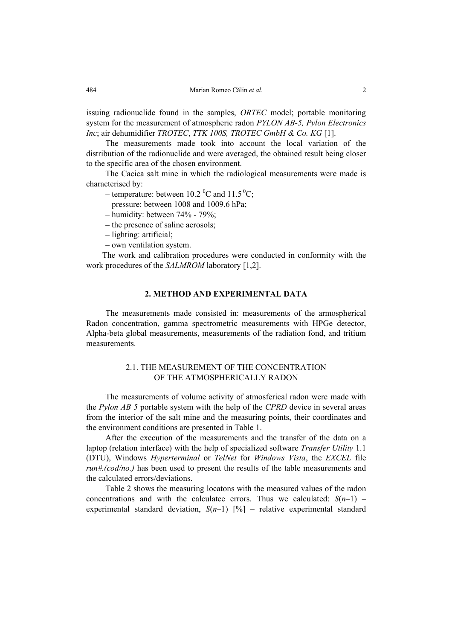issuing radionuclide found in the samples, *ORTEC* model; portable monitoring system for the measurement of atmospheric radon *PYLON AB-5, Pylon Electronics Inc*; air dehumidifier *TROTEC*, *TTK 100S, TROTEC GmbH & Co. KG* [1].

The measurements made took into account the local variation of the distribution of the radionuclide and were averaged, the obtained result being closer to the specific area of the chosen environment.

The Cacica salt mine in which the radiological measurements were made is characterised by:

– temperature: between 10.2 <sup>o</sup>C and 11.5 <sup>o</sup>C;

– pressure: between 1008 and 1009.6 hPa;

- humidity: between 74% 79%;
- the presence of saline aerosols;
- lighting: artificial;
- own ventilation system.

The work and calibration procedures were conducted in conformity with the work procedures of the *SALMROM* laboratory [1,2].

### **2. METHOD AND EXPERIMENTAL DATA**

The measurements made consisted in: measurements of the armospherical Radon concentration, gamma spectrometric measurements with HPGe detector, Alpha-beta global measurements, measurements of the radiation fond, and tritium measurements.

#### 2.1. THE MEASUREMENT OF THE CONCENTRATION OF THE ATMOSPHERICALLY RADON

The measurements of volume activity of atmosferical radon were made with the *Pylon AB 5* portable system with the help of the *CPRD* device in several areas from the interior of the salt mine and the measuring points, their coordinates and the environment conditions are presented in Table 1.

After the execution of the measurements and the transfer of the data on a laptop (relation interface) with the help of specialized software *Transfer Utility* 1.1 (DTU), Windows *Hyperterminal* or *TelNet* for *Windows Vista*, the *EXCEL* file *run#.(cod/no.)* has been used to present the results of the table measurements and the calculated errors/deviations.

Table 2 shows the measuring locatons with the measured values of the radon concentrations and with the calculatee errors. Thus we calculated:  $S(n-1)$  – experimental standard deviation,  $S(n-1)$  [%] – relative experimental standard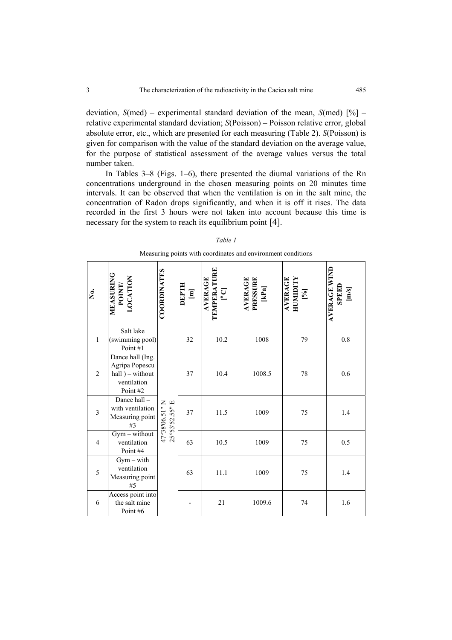deviation, *S*(med) – experimental standard deviation of the mean, *S*(med) [%] – relative experimental standard deviation; *S*(Poisson) – Poisson relative error, global absolute error, etc., which are presented for each measuring (Table 2). *S*(Poisson) is given for comparison with the value of the standard deviation on the average value, for the purpose of statistical assessment of the average values versus the total number taken.

In Tables 3–8 (Figs. 1–6), there presented the diurnal variations of the Rn concentrations underground in the chosen measuring points on 20 minutes time intervals. It can be observed that when the ventilation is on in the salt mine, the concentration of Radon drops significantly, and when it is off it rises. The data recorded in the first 3 hours were not taken into account because this time is necessary for the system to reach its equilibrium point [4].

| ,<br>Ž         | MEASURING<br>POINT/<br>LOCATION                                                    | <b>COORDINATES</b>               | [w]<br>H.Ld30 | AVERAGE<br>TEMPERATURE<br> °C | <b>AVERAGE</b><br>PRESSURE<br>[kPa] | AVERAGE<br>HUMIDITY<br>$[\%]$ | <b>AVERAGE WIND</b><br>SPEED<br>$[m/s]$ |
|----------------|------------------------------------------------------------------------------------|----------------------------------|---------------|-------------------------------|-------------------------------------|-------------------------------|-----------------------------------------|
| $\mathbf{1}$   | Salt lake<br>(swimming pool)<br>Point #1                                           |                                  | 32            | 10.2                          | 1008                                | 79                            | $0.8\,$                                 |
| $\overline{2}$ | Dance hall (Ing.<br>Agripa Popescu<br>$hall) - without$<br>ventilation<br>Point #2 |                                  | 37            | 10.4                          | 1008.5                              | 78                            | 0.6                                     |
| $\overline{3}$ | Dance hall-<br>with ventilation<br>Measuring point<br>#3                           | 47°38'06.51" N<br>25°53'52.55" E | 37            | 11.5                          | 1009                                | 75                            | 1.4                                     |
| $\overline{4}$ | $Gym - without$<br>ventilation<br>Point #4                                         |                                  | 63            | 10.5                          | 1009                                | 75                            | 0.5                                     |
| 5              | $Gym - with$<br>ventilation<br>Measuring point<br>#5                               |                                  | 63            | 11.1                          | 1009                                | 75                            | 1.4                                     |
| 6              | Access point into<br>the salt mine<br>Point #6                                     |                                  |               | 21                            | 1009.6                              | 74                            | 1.6                                     |

|  |  |  | Measuring points with coordinates and environment conditions |  |
|--|--|--|--------------------------------------------------------------|--|
|  |  |  |                                                              |  |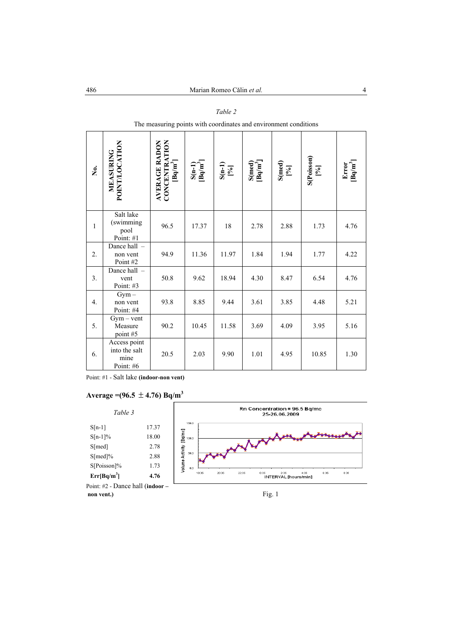| ,<br>Š           | POINT/LOCATION<br>MEASURING                        | CONCENTRATION<br>[Bq/m <sup>3</sup> ]<br><b>AVERAGE RADON</b> | $\frac{S(n-1)}{[Bq/m^3]}$ | $S(n-1)$<br>[%] | $\begin{array}{c} \mathrm{S}(\mathrm{med}) \\ \mathrm{[Bq/m}^3 \end{array}$ | $\frac{\text{S}(\text{med})}{\binom{9}{0}}$ | $S(Poisson)$<br>$[9/6]$ | $\frac{\text{Error}}{\text{[Bq/m}^3]}$ |
|------------------|----------------------------------------------------|---------------------------------------------------------------|---------------------------|-----------------|-----------------------------------------------------------------------------|---------------------------------------------|-------------------------|----------------------------------------|
| $\mathbf{1}$     | Salt lake<br>(swimming<br>pool<br>Point: #1        | 96.5                                                          | 17.37                     | $18\,$          | 2.78                                                                        | 2.88                                        | 1.73                    | 4.76                                   |
| 2.               | Dance hall -<br>non vent<br>Point #2               | 94.9                                                          | 11.36                     | 11.97           | 1.84                                                                        | 1.94                                        | 1.77                    | 4.22                                   |
| 3.               | Dance hall -<br>vent<br>Point: #3                  | 50.8                                                          | 9.62                      | 18.94           | 4.30                                                                        | 8.47                                        | 6.54                    | 4.76                                   |
| $\overline{4}$ . | $Gym -$<br>non vent<br>Point: #4                   | 93.8                                                          | 8.85                      | 9.44            | 3.61                                                                        | 3.85                                        | 4.48                    | 5.21                                   |
| 5.               | $Gym - vent$<br>Measure<br>point #5                | 90.2                                                          | 10.45                     | 11.58           | 3.69                                                                        | 4.09                                        | 3.95                    | 5.16                                   |
| 6.               | Access point<br>into the salt<br>mine<br>Point: #6 | 20.5                                                          | 2.03                      | 9.90            | 1.01                                                                        | 4.95                                        | 10.85                   | 1.30                                   |

#### *Table 2*

The measuring points with coordinates and environment conditions

Point: #1 - Salt lake **(indoor-non vent)**

### Average =  $(96.5 \pm 4.76)$  Bq/m<sup>3</sup>

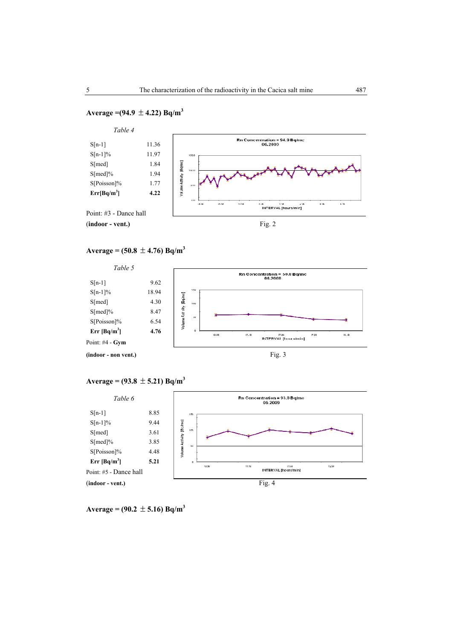### Average =  $(94.9 \pm 4.22)$  Bq/m<sup>3</sup>



 $Average = (50.8 \pm 4.76) Bq/m^3$ 



## $Average = (93.8 \pm 5.21) Bq/m^3$



 $Average = (90.2 \pm 5.16) Bq/m^3$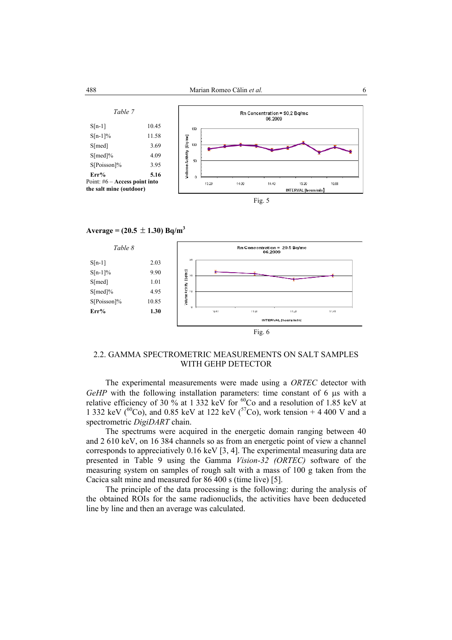

### $Average = (20.5 \pm 1.30) Bq/m^3$



## 2.2. GAMMA SPECTROMETRIC MEASUREMENTS ON SALT SAMPLES WITH GEHP DETECTOR

The experimental measurements were made using a *ORTEC* detector with *GeHP* with the following installation parameters: time constant of 6 µs with a relative efficiency of 30 % at 1 332 keV for  ${}^{60}Co$  and a resolution of 1.85 keV at 1 332 keV ( ${}^{60}Co$ ), and 0.85 keV at 122 keV ( ${}^{57}Co$ ), work tension + 4 400 V and a spectrometric *DigiDART* chain.

The spectrums were acquired in the energetic domain ranging between 40 and 2 610 keV, on 16 384 channels so as from an energetic point of view a channel corresponds to appreciatively 0.16 keV [3, 4]. The experimental measuring data are presented in Table 9 using the Gamma *Vision-32 (ORTEC)* software of the measuring system on samples of rough salt with a mass of 100 g taken from the Cacica salt mine and measured for 86 400 s (time live) [5].

The principle of the data processing is the following: during the analysis of the obtained ROIs for the same radionuclids, the activities have been deduceted line by line and then an average was calculated.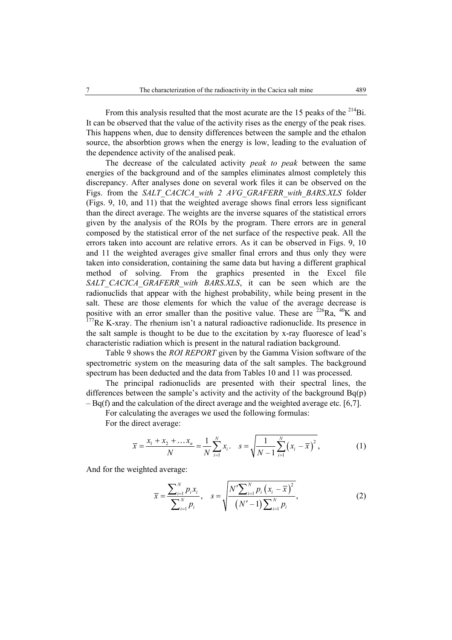From this analysis resulted that the most acurate are the 15 peaks of the  $^{214}Bi$ . It can be observed that the value of the activity rises as the energy of the peak rises. This happens when, due to density differences between the sample and the ethalon source, the absorbtion grows when the energy is low, leading to the evaluation of the dependence activity of the analised peak.

The decrease of the calculated activity *peak to peak* between the same energies of the background and of the samples eliminates almost completely this discrepancy. After analyses done on several work files it can be observed on the Figs. from the *SALT\_CACICA\_with 2 AVG\_GRAFERR\_with\_BARS.XLS* folder (Figs. 9, 10, and 11) that the weighted average shows final errors less significant than the direct average. The weights are the inverse squares of the statistical errors given by the analysis of the ROIs by the program. There errors are in general composed by the statistical error of the net surface of the respective peak. All the errors taken into account are relative errors. As it can be observed in Figs. 9, 10 and 11 the weighted averages give smaller final errors and thus only they were taken into consideration, containing the same data but having a different graphical method of solving. From the graphics presented in the Excel file SALT\_CACICA\_GRAFERR\_with BARS.XLS, it can be seen which are the radionuclids that appear with the highest probability, while being present in the salt. These are those elements for which the value of the average decrease is positive with an error smaller than the positive value. These are  $2^{26}Ra$ ,  $40K$  and  $177$ Re K-xray. The rhenium isn't a natural radioactive radionuclide. Its presence in the salt sample is thought to be due to the excitation by x-ray fluoresce of lead's characteristic radiation which is present in the natural radiation background.

Table 9 shows the *ROI REPORT* given by the Gamma Vision software of the spectrometric system on the measuring data of the salt samples. The background spectrum has been deducted and the data from Tables 10 and 11 was processed.

The principal radionuclids are presented with their spectral lines, the differences between the sample's activity and the activity of the background Bq(p)  $-$  Bq(f) and the calculation of the direct average and the weighted average etc. [6,7].

For calculating the averages we used the following formulas:

For the direct average:

$$
\overline{x} = \frac{x_1 + x_2 + \dots + x_n}{N} = \frac{1}{N} \sum_{i=1}^{N} x_i. \quad s = \sqrt{\frac{1}{N-1} \sum_{i=1}^{N} (x_i - \overline{x})^2},
$$
(1)

And for the weighted average:

$$
\overline{x} = \frac{\sum_{i=1}^{N} p_i x_i}{\sum_{i=1}^{N} p_i}, \quad s = \sqrt{\frac{N' \sum_{i=1}^{N} p_i (x_i - \overline{x})^2}{(N' - 1) \sum_{i=1}^{N} p_i}}, \tag{2}
$$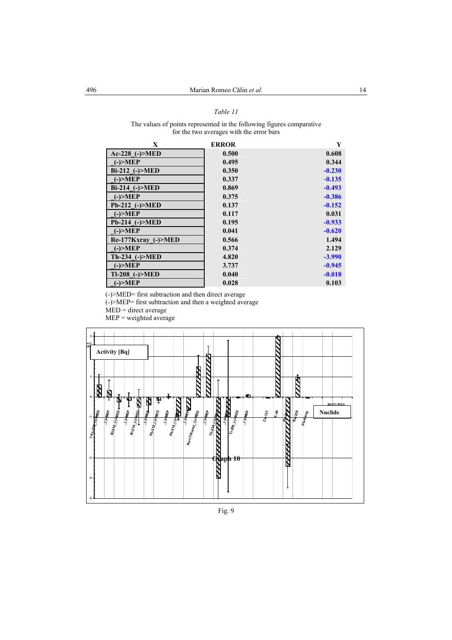#### *Table 11*

#### The values of points represented in the following figures comparative for the two averages with the error bars

| X                    | <b>ERROR</b> | Y        |
|----------------------|--------------|----------|
| $Ac-228$ (-) $>MED$  | 0.500        | 0.608    |
| $(-) > MEP$          | 0.495        | 0.344    |
| Bi-212 (-)>MED       | 0.350        | $-0.230$ |
| $(-) > MEP$          | 0.337        | $-0.135$ |
| Bi-214 (-)>MED       | 0.869        | $-0.493$ |
| $(-) > MEP$          | 0.375        | $-0.386$ |
| Pb-212 (-)>MED       | 0.137        | $-0.152$ |
| $(-) > MEP$          | 0.117        | 0.031    |
| $Pb-214$ (-) $>MED$  | 0.195        | $-0.933$ |
| $(-) > MEP$          | 0.041        | $-0.620$ |
| Re-177Kxray (-)>MED  | 0.566        | 1.494    |
| $(-) > MEP$          | 0.374        | 2.129    |
| $Th-234$ (-) $>$ MED | 4.820        | $-3.990$ |
| $(-) > MEP$          | 3.737        | $-0.945$ |
| $Tl-208$ (-) $>MED$  | 0.040        | $-0.018$ |
| $(-) > MEP$          | 0.028        | 0.103    |

(-)>MED= first subtraction and then direct average

(-)>MEP= first subtraction and then a weighted average

 $\widehat{\text{MED}}$  = direct average

 $MEP$  = weighted average

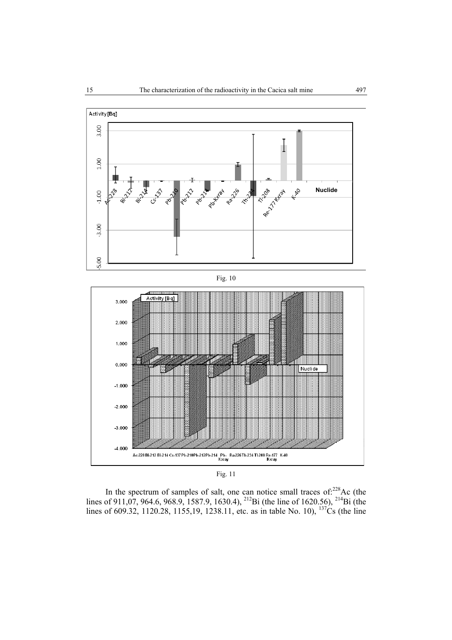



In the spectrum of samples of salt, one can notice small traces of: $228$ Ac (the lines of 911,07, 964.6, 968.9, 1587.9, 1630.4), <sup>212</sup>Bi (the line of 1620.56), <sup>214</sup>Bi (the lines of 609.32, 1120.28, 1155,19, 1238.11, etc. as in table No. 10),  $^{137}Cs$  (the line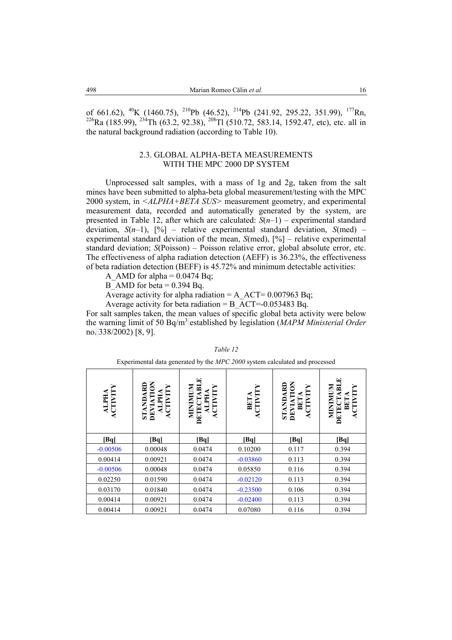of 661.62), <sup>40</sup>K (1460.75), <sup>210</sup>Pb (46.52), <sup>214</sup>Pb (241.92, 295.22, 351.99), <sup>177</sup>Rn, <sup>226</sup>Ra (185.99), <sup>234</sup>Th (63.2, 92.38), <sup>208</sup>Tl (510.72, 583.14, 1592.47, etc), etc. all in the natural background radiation (according to Table 10).

#### 2.3. GLOBAL ALPHA-BETA MEASUREMENTS WITH THE MPC 2000 DP SYSTEM

Unprocessed salt samples, with a mass of 1g and 2g, taken from the salt mines have been submitted to alpha-beta global measurement/testing with the MPC 2000 system, in *<ALPHA+BETA SUS>* measurement geometry, and experimental measurement data, recorded and automatically generated by the system, are presented in Table 12, after which are calculated:  $S(n-1)$  – experimental standard deviation,  $S(n-1)$ ,  $\lceil\% \rceil$  – relative experimental standard deviation,  $S(med)$  – experimental standard deviation of the mean, *S*(med), [%] – relative experimental standard deviation; *S*(Poisson) – Poisson relative error, global absolute error, etc. The effectiveness of alpha radiation detection (AEFF) is 36.23%, the effectiveness of beta radiation detection (BEFF) is 45.72% and minimum detectable activities:

A AMD for alpha  $= 0.0474$  Bq;

B AMD for beta  $= 0.394$  Bq.

Average activity for alpha radiation = A\_ACT=  $0.007963$  Bq;

Average activity for beta radiation = B  $\overline{A}CT=0.053483 \text{ Ba}.$ 

For salt samples taken, the mean values of specific global beta activity were below the warning limit of 50 Bq/m<sup>3</sup> established by legislation (*MAPM Ministerial Order*  no. 338/2002) [8, 9].

| Experimental data generated by the MPC 2000 system calculated and processed |                                          |                                                |                 |                                         |                                                             |  |  |
|-----------------------------------------------------------------------------|------------------------------------------|------------------------------------------------|-----------------|-----------------------------------------|-------------------------------------------------------------|--|--|
| ALPHA<br>ACTIVITY                                                           | STANDARD<br>DEVIATION<br>ALPHA<br>CTIVIT | MINIMIN<br><b>ETECTAB</b><br>ALPHA<br>ACTIVITY | BETA<br>CTIVITY | Š<br>STANDARD<br>DEVIATION<br>BETA<br>E | MINIMIN<br>屑<br><b>HAIL</b><br><b>DETECTA</b><br><b>BET</b> |  |  |
| [Bq]                                                                        | Bql                                      | [Bq]                                           | [Bq]            | [Bq]                                    | [Bq]                                                        |  |  |
| $-0.00506$                                                                  | 0.00048                                  | 0.0474                                         | 0.10200         | 0.117                                   | 0.394                                                       |  |  |
| 0.00414                                                                     | 0.00921                                  | 0.0474                                         | $-0.03860$      | 0.113                                   | 0.394                                                       |  |  |
| $-0.00506$                                                                  | 0.00048                                  | 0.0474                                         | 0.05850         | 0.116                                   | 0.394                                                       |  |  |
| 0.02250                                                                     | 0.01590                                  | 0.0474                                         | $-0.02120$      | 0.113                                   | 0.394                                                       |  |  |
| 0.03170                                                                     | 0.01840                                  | 0.0474                                         | $-0.23500$      | 0.106                                   | 0.394                                                       |  |  |
| 0.00414                                                                     | 0.00921                                  | 0.0474                                         | $-0.02400$      | 0.113                                   | 0.394                                                       |  |  |
| 0.00414                                                                     | 0.00921                                  | 0.0474                                         | 0.07080         | 0.116                                   | 0.394                                                       |  |  |

#### *Table 12*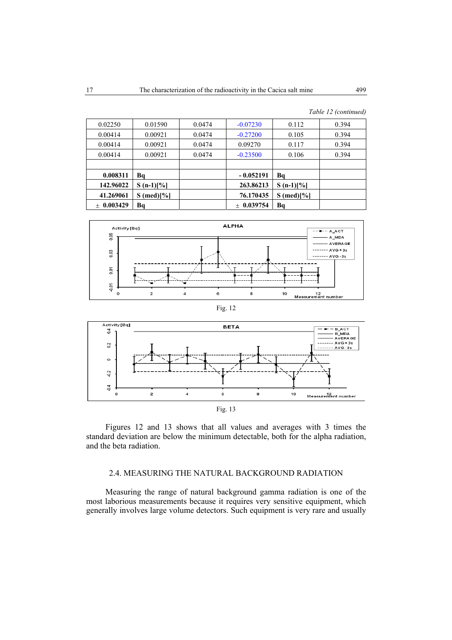| 0.02250            | 0.01590          | 0.0474 | $-0.07230$   | 0.112                  | 0.394 |
|--------------------|------------------|--------|--------------|------------------------|-------|
| 0.00414            | 0.00921          | 0.0474 | $-0.27200$   | 0.105                  | 0.394 |
| 0.00414            | 0.00921          | 0.0474 | 0.09270      | 0.117                  | 0.394 |
| 0.00414            | 0.00921          | 0.0474 | $-0.23500$   | 0.106                  | 0.394 |
|                    |                  |        |              |                        |       |
| 0.008311           | Bq               |        | $-0.052191$  | Bq                     |       |
| 142.96022          | $S(n-1)[\%]$     |        | 263.86213    | $S(n-1)[\%]$           |       |
| 41.269061          | $(med)[\%]$<br>S |        | 76.170435    | $S \text{ (med)} [\%]$ |       |
| 0.003429<br>$^{+}$ | Bq               |        | $+$ 0.039754 | Bq                     |       |
|                    |                  |        |              |                        |       |









# 2.4. MEASURING THE NATURAL BACKGROUND RADIATION

Measuring the range of natural background gamma radiation is one of the most laborious measurements because it requires very sensitive equipment, which generally involves large volume detectors. Such equipment is very rare and usually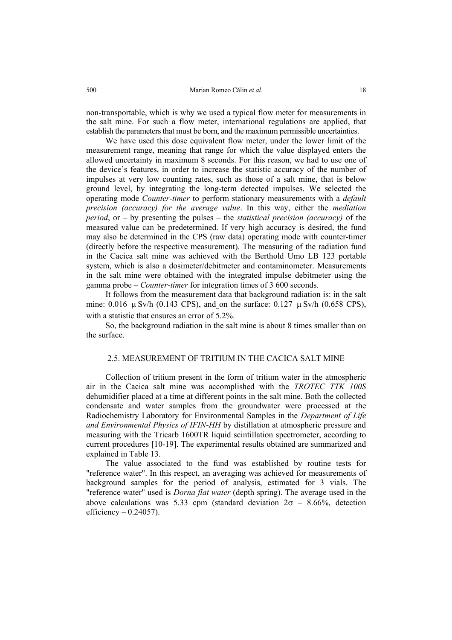non-transportable, which is why we used a typical flow meter for measurements in the salt mine. For such a flow meter, international regulations are applied, that establish the parameters that must be born, and the maximum permissible uncertainties.

We have used this dose equivalent flow meter, under the lower limit of the measurement range, meaning that range for which the value displayed enters the allowed uncertainty in maximum 8 seconds. For this reason, we had to use one of the device's features, in order to increase the statistic accuracy of the number of impulses at very low counting rates, such as those of a salt mine, that is below ground level, by integrating the long-term detected impulses. We selected the operating mode *Counter-timer* to perform stationary measurements with a *default precision (accuracy) for the average value*. In this way, either the *mediation period*, or – by presenting the pulses – the *statistical precision (accuracy)* of the measured value can be predetermined. If very high accuracy is desired, the fund may also be determined in the CPS (raw data) operating mode with counter-timer (directly before the respective measurement). The measuring of the radiation fund in the Cacica salt mine was achieved with the Berthold Umo LB 123 portable system, which is also a dosimeter/debitmeter and contaminometer. Measurements in the salt mine were obtained with the integrated impulse debitmeter using the gamma probe – *Counter-timer* for integration times of 3 600 seconds.

It follows from the measurement data that background radiation is: in the salt mine:  $0.016 \mu$  Sv/h (0.143 CPS), and on the surface:  $0.127 \mu$  Sv/h (0.658 CPS), with a statistic that ensures an error of  $5.2\%$ .

So, the background radiation in the salt mine is about 8 times smaller than on the surface.

#### 2.5. MEASUREMENT OF TRITIUM IN THE CACICA SALT MINE

Collection of tritium present in the form of tritium water in the atmospheric air in the Cacica salt mine was accomplished with the *TROTEC TTK 100S* dehumidifier placed at a time at different points in the salt mine. Both the collected condensate and water samples from the groundwater were processed at the Radiochemistry Laboratory for Environmental Samples in the *Department of Life and Environmental Physics of IFIN-HH* by distillation at atmospheric pressure and measuring with the Tricarb 1600TR liquid scintillation spectrometer, according to current procedures [10-19]. The experimental results obtained are summarized and explained in Table 13.

The value associated to the fund was established by routine tests for "reference water". In this respect, an averaging was achieved for measurements of background samples for the period of analysis, estimated for 3 vials. The "reference water" used is *Dorna flat water* (depth spring). The average used in the above calculations was 5.33 cpm (standard deviation  $2\sigma - 8.66\%$ , detection efficiency  $- 0.24057$ ).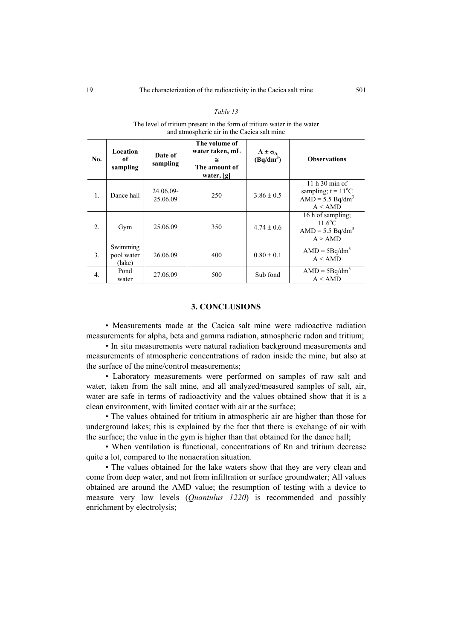| and atmospheric air in the Cacica salt mine |                                  |                       |                                                                        |                                 |                                                                                        |  |  |
|---------------------------------------------|----------------------------------|-----------------------|------------------------------------------------------------------------|---------------------------------|----------------------------------------------------------------------------------------|--|--|
| No.                                         | Location<br>of<br>sampling       | Date of<br>sampling   | The volume of<br>water taken, mL<br>≅<br>The amount of<br>water, $[g]$ | $A \pm \sigma_A$<br>$(Bq/dm^3)$ | <b>Observations</b>                                                                    |  |  |
| 1.                                          | Dance hall                       | 24.06.09-<br>25.06.09 | 250                                                                    | $3.86 \pm 0.5$                  | $11h30 \text{ min of}$<br>sampling; $t = 11^{\circ}C$<br>$AMD = 5.5 Bq/dm3$<br>A < AMD |  |  |
| 2.                                          | Gym                              | 25.06.09              | 350                                                                    | $4.74 \pm 0.6$                  | 16 h of sampling;<br>$11.6^{\circ}$ C<br>$AMD = 5.5 Bq/dm3$<br>$A \approx$ AMD         |  |  |
| 3.                                          | Swimming<br>pool water<br>(lake) | 26.06.09              | 400                                                                    | $0.80 \pm 0.1$                  | $AMD = 5Bq/dm3$<br>A < AMD                                                             |  |  |
| $\overline{4}$ .                            | Pond<br>water                    | 27.06.09              | 500                                                                    | Sub fond                        | $AMD = 5Bq/dm3$<br>A < AMD                                                             |  |  |

#### *Table 13*

The level of tritium present in the form of tritium water in the water

### **3. CONCLUSIONS**

• Measurements made at the Cacica salt mine were radioactive radiation measurements for alpha, beta and gamma radiation, atmospheric radon and tritium;

• In situ measurements were natural radiation background measurements and measurements of atmospheric concentrations of radon inside the mine, but also at the surface of the mine/control measurements;

• Laboratory measurements were performed on samples of raw salt and water, taken from the salt mine, and all analyzed/measured samples of salt, air, water are safe in terms of radioactivity and the values obtained show that it is a clean environment, with limited contact with air at the surface;

• The values obtained for tritium in atmospheric air are higher than those for underground lakes; this is explained by the fact that there is exchange of air with the surface; the value in the gym is higher than that obtained for the dance hall;

• When ventilation is functional, concentrations of Rn and tritium decrease quite a lot, compared to the nonaeration situation.

• The values obtained for the lake waters show that they are very clean and come from deep water, and not from infiltration or surface groundwater; All values obtained are around the AMD value; the resumption of testing with a device to measure very low levels (*Quantulus 1220*) is recommended and possibly enrichment by electrolysis;